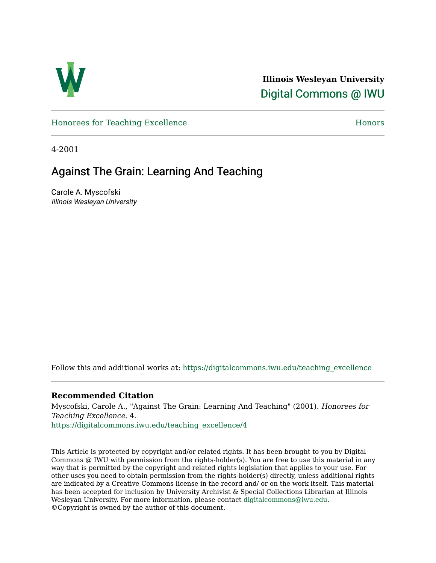

**Illinois Wesleyan University**  [Digital Commons @ IWU](https://digitalcommons.iwu.edu/) 

[Honorees for Teaching Excellence](https://digitalcommons.iwu.edu/teaching_excellence) [Honors](https://digitalcommons.iwu.edu/honors_docs) 

4-2001

## Against The Grain: Learning And Teaching

Carole A. Myscofski Illinois Wesleyan University

Follow this and additional works at: [https://digitalcommons.iwu.edu/teaching\\_excellence](https://digitalcommons.iwu.edu/teaching_excellence?utm_source=digitalcommons.iwu.edu%2Fteaching_excellence%2F4&utm_medium=PDF&utm_campaign=PDFCoverPages)

## **Recommended Citation**

Myscofski, Carole A., "Against The Grain: Learning And Teaching" (2001). Honorees for Teaching Excellence. 4. [https://digitalcommons.iwu.edu/teaching\\_excellence/4](https://digitalcommons.iwu.edu/teaching_excellence/4?utm_source=digitalcommons.iwu.edu%2Fteaching_excellence%2F4&utm_medium=PDF&utm_campaign=PDFCoverPages)

This Article is protected by copyright and/or related rights. It has been brought to you by Digital Commons @ IWU with permission from the rights-holder(s). You are free to use this material in any way that is permitted by the copyright and related rights legislation that applies to your use. For other uses you need to obtain permission from the rights-holder(s) directly, unless additional rights are indicated by a Creative Commons license in the record and/ or on the work itself. This material has been accepted for inclusion by University Archivist & Special Collections Librarian at Illinois Wesleyan University. For more information, please contact [digitalcommons@iwu.edu.](mailto:digitalcommons@iwu.edu) ©Copyright is owned by the author of this document.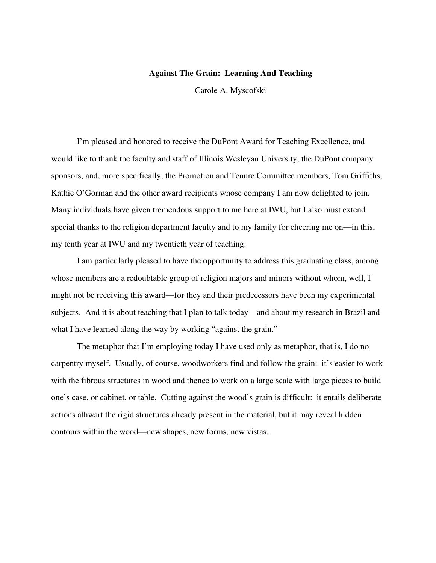## **Against The Grain: Learning And Teaching**

Carole A. Myscofski

I'm pleased and honored to receive the DuPont Award for Teaching Excellence, and would like to thank the faculty and staff of Illinois Wesleyan University, the DuPont company sponsors, and, more specifically, the Promotion and Tenure Committee members, Tom Griffiths, Kathie O'Gorman and the other award recipients whose company I am now delighted to join. Many individuals have given tremendous support to me here at IWU, but I also must extend special thanks to the religion department faculty and to my family for cheering me on—in this, my tenth year at IWU and my twentieth year of teaching.

I am particularly pleased to have the opportunity to address this graduating class, among whose members are a redoubtable group of religion majors and minors without whom, well, I might not be receiving this award—for they and their predecessors have been my experimental subjects. And it is about teaching that I plan to talk today—and about my research in Brazil and what I have learned along the way by working "against the grain."

The metaphor that I'm employing today I have used only as metaphor, that is, I do no carpentry myself. Usually, of course, woodworkers find and follow the grain: it's easier to work with the fibrous structures in wood and thence to work on a large scale with large pieces to build one's case, or cabinet, or table. Cutting against the wood's grain is difficult: it entails deliberate actions athwart the rigid structures already present in the material, but it may reveal hidden contours within the wood—new shapes, new forms, new vistas.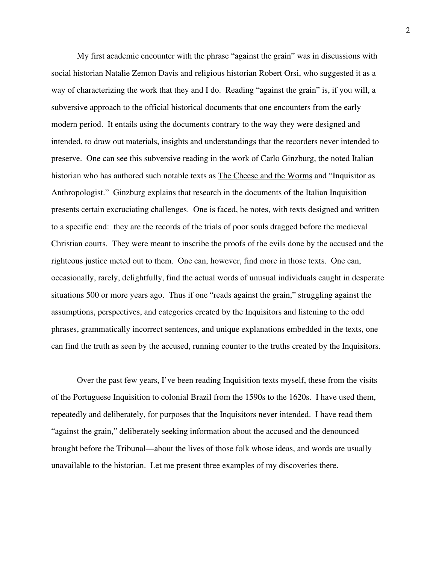My first academic encounter with the phrase "against the grain" was in discussions with social historian Natalie Zemon Davis and religious historian Robert Orsi, who suggested it as a way of characterizing the work that they and I do. Reading "against the grain" is, if you will, a subversive approach to the official historical documents that one encounters from the early modern period. It entails using the documents contrary to the way they were designed and intended, to draw out materials, insights and understandings that the recorders never intended to preserve. One can see this subversive reading in the work of Carlo Ginzburg, the noted Italian historian who has authored such notable texts as The Cheese and the Worms and "Inquisitor as Anthropologist." Ginzburg explains that research in the documents of the Italian Inquisition presents certain excruciating challenges. One is faced, he notes, with texts designed and written to a specific end: they are the records of the trials of poor souls dragged before the medieval Christian courts. They were meant to inscribe the proofs of the evils done by the accused and the righteous justice meted out to them. One can, however, find more in those texts. One can, occasionally, rarely, delightfully, find the actual words of unusual individuals caught in desperate situations 500 or more years ago. Thus if one "reads against the grain," struggling against the assumptions, perspectives, and categories created by the Inquisitors and listening to the odd phrases, grammatically incorrect sentences, and unique explanations embedded in the texts, one can find the truth as seen by the accused, running counter to the truths created by the Inquisitors.

Over the past few years, I've been reading Inquisition texts myself, these from the visits of the Portuguese Inquisition to colonial Brazil from the 1590s to the 1620s. I have used them, repeatedly and deliberately, for purposes that the Inquisitors never intended. I have read them "against the grain," deliberately seeking information about the accused and the denounced brought before the Tribunal—about the lives of those folk whose ideas, and words are usually unavailable to the historian. Let me present three examples of my discoveries there.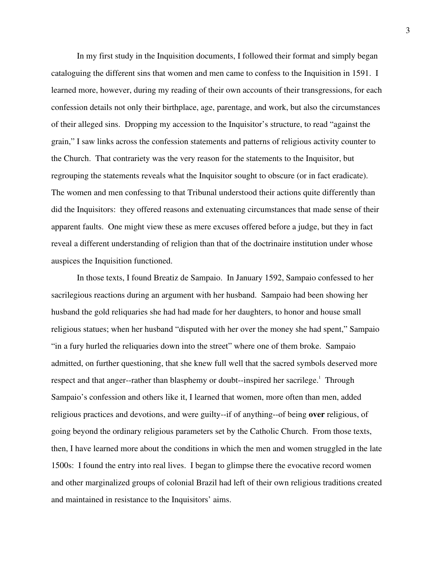In my first study in the Inquisition documents, I followed their format and simply began cataloguing the different sins that women and men came to confess to the Inquisition in 1591. I learned more, however, during my reading of their own accounts of their transgressions, for each confession details not only their birthplace, age, parentage, and work, but also the circumstances of their alleged sins. Dropping my accession to the Inquisitor's structure, to read "against the grain," I saw links across the confession statements and patterns of religious activity counter to the Church. That contrariety was the very reason for the statements to the Inquisitor, but regrouping the statements reveals what the Inquisitor sought to obscure (or in fact eradicate). The women and men confessing to that Tribunal understood their actions quite differently than did the Inquisitors: they offered reasons and extenuating circumstances that made sense of their apparent faults. One might view these as mere excuses offered before a judge, but they in fact reveal a different understanding of religion than that of the doctrinaire institution under whose auspices the Inquisition functioned.

In those texts, I found Breatiz de Sampaio. In January 1592, Sampaio confessed to her sacrilegious reactions during an argument with her husband. Sampaio had been showing her husband the gold reliquaries she had had made for her daughters, to honor and house small religious statues; when her husband "disputed with her over the money she had spent," Sampaio "in a fury hurled the reliquaries down into the street" where one of them broke. Sampaio admitted, on further questioning, that she knew full well that the sacred symbols deserved more respect and that anger--rather than blasphemy or doubt--inspired her sacrilege.<sup>1</sup> Through Sampaio's confession and others like it, I learned that women, more often than men, added religious practices and devotions, and were guilty--if of anything--of being **over** religious, of going beyond the ordinary religious parameters set by the Catholic Church. From those texts, then, I have learned more about the conditions in which the men and women struggled in the late 1500s: I found the entry into real lives. I began to glimpse there the evocative record women and other marginalized groups of colonial Brazil had left of their own religious traditions created and maintained in resistance to the Inquisitors' aims.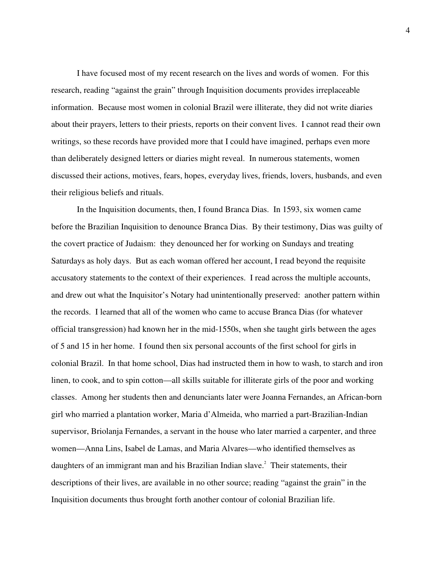I have focused most of my recent research on the lives and words of women. For this research, reading "against the grain" through Inquisition documents provides irreplaceable information. Because most women in colonial Brazil were illiterate, they did not write diaries about their prayers, letters to their priests, reports on their convent lives. I cannot read their own writings, so these records have provided more that I could have imagined, perhaps even more than deliberately designed letters or diaries might reveal. In numerous statements, women discussed their actions, motives, fears, hopes, everyday lives, friends, lovers, husbands, and even their religious beliefs and rituals.

In the Inquisition documents, then, I found Branca Dias. In 1593, six women came before the Brazilian Inquisition to denounce Branca Dias. By their testimony, Dias was guilty of the covert practice of Judaism: they denounced her for working on Sundays and treating Saturdays as holy days. But as each woman offered her account, I read beyond the requisite accusatory statements to the context of their experiences. I read across the multiple accounts, and drew out what the Inquisitor's Notary had unintentionally preserved: another pattern within the records. I learned that all of the women who came to accuse Branca Dias (for whatever official transgression) had known her in the mid-1550s, when she taught girls between the ages of 5 and 15 in her home. I found then six personal accounts of the first school for girls in colonial Brazil. In that home school, Dias had instructed them in how to wash, to starch and iron linen, to cook, and to spin cotton—all skills suitable for illiterate girls of the poor and working classes. Among her students then and denunciants later were Joanna Fernandes, an African-born girl who married a plantation worker, Maria d'Almeida, who married a part-Brazilian-Indian supervisor, Briolanja Fernandes, a servant in the house who later married a carpenter, and three women—Anna Lins, Isabel de Lamas, and Maria Alvares—who identified themselves as daughters of an immigrant man and his Brazilian Indian slave.<sup>2</sup> Their statements, their descriptions of their lives, are available in no other source; reading "against the grain" in the Inquisition documents thus brought forth another contour of colonial Brazilian life.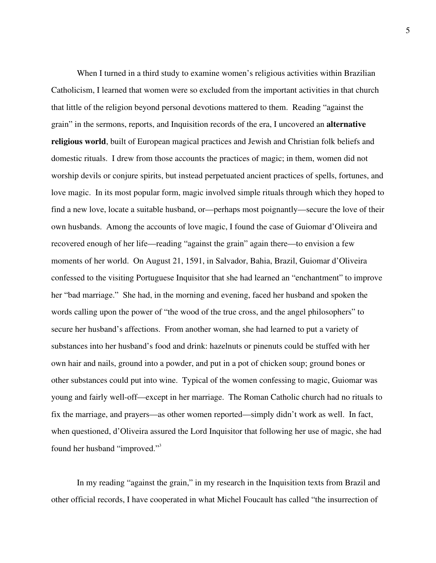When I turned in a third study to examine women's religious activities within Brazilian Catholicism, I learned that women were so excluded from the important activities in that church that little of the religion beyond personal devotions mattered to them. Reading "against the grain" in the sermons, reports, and Inquisition records of the era, I uncovered an **alternative religious world**, built of European magical practices and Jewish and Christian folk beliefs and domestic rituals. I drew from those accounts the practices of magic; in them, women did not worship devils or conjure spirits, but instead perpetuated ancient practices of spells, fortunes, and love magic. In its most popular form, magic involved simple rituals through which they hoped to find a new love, locate a suitable husband, or—perhaps most poignantly—secure the love of their own husbands. Among the accounts of love magic, I found the case of Guiomar d'Oliveira and recovered enough of her life—reading "against the grain" again there—to envision a few moments of her world. On August 21, 1591, in Salvador, Bahia, Brazil, Guiomar d'Oliveira confessed to the visiting Portuguese Inquisitor that she had learned an "enchantment" to improve her "bad marriage." She had, in the morning and evening, faced her husband and spoken the words calling upon the power of "the wood of the true cross, and the angel philosophers" to secure her husband's affections. From another woman, she had learned to put a variety of substances into her husband's food and drink: hazelnuts or pinenuts could be stuffed with her own hair and nails, ground into a powder, and put in a pot of chicken soup; ground bones or other substances could put into wine. Typical of the women confessing to magic, Guiomar was young and fairly well-off—except in her marriage. The Roman Catholic church had no rituals to fix the marriage, and prayers—as other women reported—simply didn't work as well. In fact, when questioned, d'Oliveira assured the Lord Inquisitor that following her use of magic, she had found her husband "improved."<sup>3</sup>

In my reading "against the grain," in my research in the Inquisition texts from Brazil and other official records, I have cooperated in what Michel Foucault has called "the insurrection of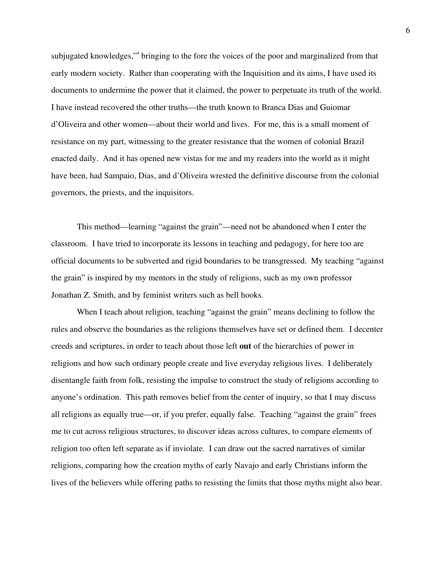subjugated knowledges,"<sup>4</sup> bringing to the fore the voices of the poor and marginalized from that early modern society. Rather than cooperating with the Inquisition and its aims, I have used its documents to undermine the power that it claimed, the power to perpetuate its truth of the world. I have instead recovered the other truths—the truth known to Branca Dias and Guiomar d'Oliveira and other women—about their world and lives. For me, this is a small moment of resistance on my part, witnessing to the greater resistance that the women of colonial Brazil enacted daily. And it has opened new vistas for me and my readers into the world as it might have been, had Sampaio, Dias, and d'Oliveira wrested the definitive discourse from the colonial governors, the priests, and the inquisitors.

This method—learning "against the grain"—need not be abandoned when I enter the classroom. I have tried to incorporate its lessons in teaching and pedagogy, for here too are official documents to be subverted and rigid boundaries to be transgressed. My teaching "against the grain" is inspired by my mentors in the study of religions, such as my own professor Jonathan Z. Smith, and by feminist writers such as bell hooks.

When I teach about religion, teaching "against the grain" means declining to follow the rules and observe the boundaries as the religions themselves have set or defined them. I decenter creeds and scriptures, in order to teach about those left **out** of the hierarchies of power in religions and how such ordinary people create and live everyday religious lives. I deliberately disentangle faith from folk, resisting the impulse to construct the study of religions according to anyone's ordination. This path removes belief from the center of inquiry, so that I may discuss all religions as equally true—or, if you prefer, equally false. Teaching "against the grain" frees me to cut across religious structures, to discover ideas across cultures, to compare elements of religion too often left separate as if inviolate. I can draw out the sacred narratives of similar religions, comparing how the creation myths of early Navajo and early Christians inform the lives of the believers while offering paths to resisting the limits that those myths might also bear.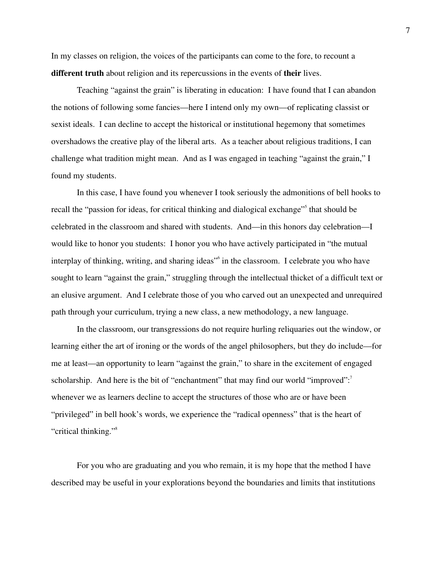In my classes on religion, the voices of the participants can come to the fore, to recount a **different truth** about religion and its repercussions in the events of **their** lives.

Teaching "against the grain" is liberating in education: I have found that I can abandon the notions of following some fancies—here I intend only my own—of replicating classist or sexist ideals. I can decline to accept the historical or institutional hegemony that sometimes overshadows the creative play of the liberal arts. As a teacher about religious traditions, I can challenge what tradition might mean. And as I was engaged in teaching "against the grain," I found my students.

In this case, I have found you whenever I took seriously the admonitions of bell hooks to recall the "passion for ideas, for critical thinking and dialogical exchange"<sup>5</sup> that should be celebrated in the classroom and shared with students. And—in this honors day celebration—I would like to honor you students: I honor you who have actively participated in "the mutual interplay of thinking, writing, and sharing ideas" in the classroom. I celebrate you who have sought to learn "against the grain," struggling through the intellectual thicket of a difficult text or an elusive argument. And I celebrate those of you who carved out an unexpected and unrequired path through your curriculum, trying a new class, a new methodology, a new language.

In the classroom, our transgressions do not require hurling reliquaries out the window, or learning either the art of ironing or the words of the angel philosophers, but they do include—for me at least—an opportunity to learn "against the grain," to share in the excitement of engaged scholarship. And here is the bit of "enchantment" that may find our world "improved": $^7$ whenever we as learners decline to accept the structures of those who are or have been "privileged" in bell hook's words, we experience the "radical openness" that is the heart of "critical thinking."<sup>8</sup>

For you who are graduating and you who remain, it is my hope that the method I have described may be useful in your explorations beyond the boundaries and limits that institutions